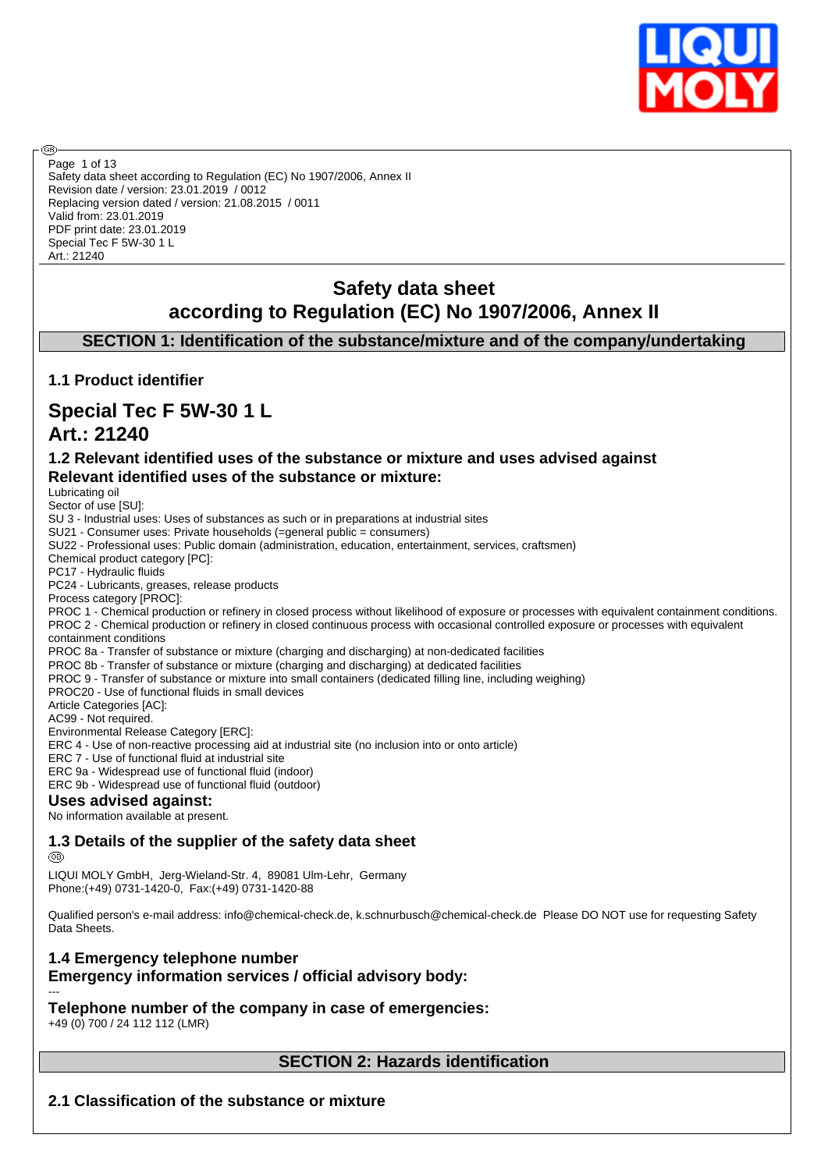

Safety data sheet according to Regulation (EC) No 1907/2006, Annex II Revision date / version: 23.01.2019 / 0012 Replacing version dated / version: 21.08.2015 / 0011 Valid from: 23.01.2019 PDF print date: 23.01.2019 Special Tec F 5W-30 1 L Art.: 21240 Page 1 of 13

# **Safety data sheet according to Regulation (EC) No 1907/2006, Annex II**

**SECTION 1: Identification of the substance/mixture and of the company/undertaking**

# **1.1 Product identifier**

# **Special Tec F 5W-30 1 L**

# **Art.: 21240**

അ

# **1.2 Relevant identified uses of the substance or mixture and uses advised against Relevant identified uses of the substance or mixture:**

Lubricating oil

Sector of use [SU]: SU 3 - Industrial uses: Uses of substances as such or in preparations at industrial sites SU21 - Consumer uses: Private households (=general public = consumers) SU22 - Professional uses: Public domain (administration, education, entertainment, services, craftsmen) Chemical product category [PC]: PC17 - Hydraulic fluids PC24 - Lubricants, greases, release products Process category [PROC]: PROC 1 - Chemical production or refinery in closed process without likelihood of exposure or processes with equivalent containment conditions. PROC 2 - Chemical production or refinery in closed continuous process with occasional controlled exposure or processes with equivalent containment conditions PROC 8a - Transfer of substance or mixture (charging and discharging) at non-dedicated facilities PROC 8b - Transfer of substance or mixture (charging and discharging) at dedicated facilities PROC 9 - Transfer of substance or mixture into small containers (dedicated filling line, including weighing) PROC20 - Use of functional fluids in small devices Article Categories [AC]: AC99 - Not required. Environmental Release Category [ERC]: ERC 4 - Use of non-reactive processing aid at industrial site (no inclusion into or onto article) ERC 7 - Use of functional fluid at industrial site ERC 9a - Widespread use of functional fluid (indoor) ERC 9b - Widespread use of functional fluid (outdoor) **Uses advised against:** No information available at present.

# **1.3 Details of the supplier of the safety data sheet**

@B

LIQUI MOLY GmbH, Jerg-Wieland-Str. 4, 89081 Ulm-Lehr, Germany Phone:(+49) 0731-1420-0, Fax:(+49) 0731-1420-88

Qualified person's e-mail address: info@chemical-check.de, k.schnurbusch@chemical-check.de Please DO NOT use for requesting Safety Data Sheets.

# **1.4 Emergency telephone number Emergency information services / official advisory body:**

--- **Telephone number of the company in case of emergencies:** +49 (0) 700 / 24 112 112 (LMR)

# **SECTION 2: Hazards identification**

**2.1 Classification of the substance or mixture**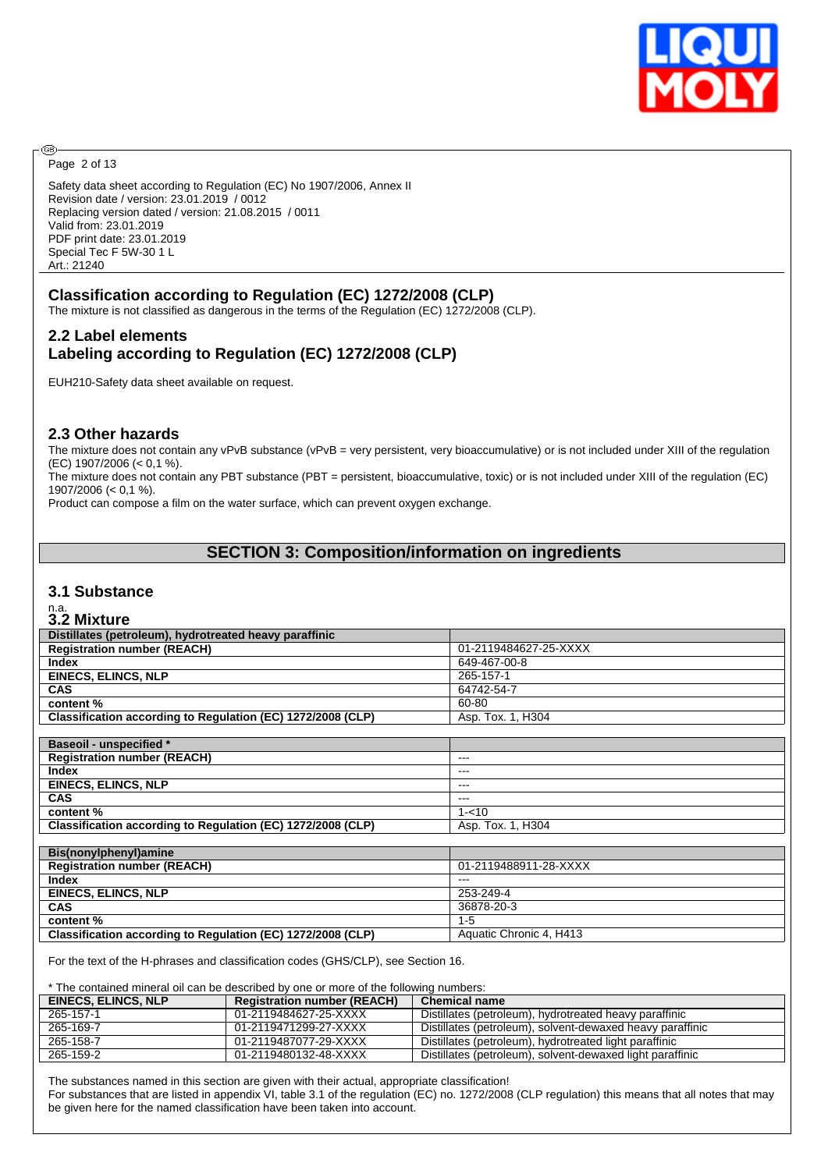

Page 2 of 13

**®** 

Safety data sheet according to Regulation (EC) No 1907/2006, Annex II Revision date / version: 23.01.2019 / 0012 Replacing version dated / version: 21.08.2015 / 0011 Valid from: 23.01.2019 PDF print date: 23.01.2019 Special Tec F 5W-30 1 L Art.: 21240

# **Classification according to Regulation (EC) 1272/2008 (CLP)**

The mixture is not classified as dangerous in the terms of the Regulation (EC) 1272/2008 (CLP).

# **2.2 Label elements Labeling according to Regulation (EC) 1272/2008 (CLP)**

EUH210-Safety data sheet available on request.

#### **2.3 Other hazards**

The mixture does not contain any vPvB substance (vPvB = very persistent, very bioaccumulative) or is not included under XIII of the regulation (EC) 1907/2006 (< 0,1 %).

The mixture does not contain any PBT substance (PBT = persistent, bioaccumulative, toxic) or is not included under XIII of the regulation (EC) 1907/2006 (< 0,1 %).

Product can compose a film on the water surface, which can prevent oxygen exchange.

# **SECTION 3: Composition/information on ingredients**

#### **3.1 Substance**

# n.a. **3.2 Mixture**

| J.L MIALUIG                                                 |                         |
|-------------------------------------------------------------|-------------------------|
| Distillates (petroleum), hydrotreated heavy paraffinic      |                         |
| <b>Registration number (REACH)</b>                          | 01-2119484627-25-XXXX   |
| <b>Index</b>                                                | 649-467-00-8            |
| <b>EINECS, ELINCS, NLP</b>                                  | 265-157-1               |
| <b>CAS</b>                                                  | 64742-54-7              |
| content%                                                    | 60-80                   |
| Classification according to Regulation (EC) 1272/2008 (CLP) | Asp. Tox. 1, H304       |
|                                                             |                         |
| <b>Baseoil - unspecified *</b>                              |                         |
| <b>Registration number (REACH)</b>                          | $---$                   |
| <b>Index</b>                                                | $---$                   |
| <b>EINECS, ELINCS, NLP</b>                                  | $- - -$                 |
| <b>CAS</b>                                                  | $---$                   |
| content%                                                    | $1 - 10$                |
| Classification according to Regulation (EC) 1272/2008 (CLP) | Asp. Tox. 1, H304       |
|                                                             |                         |
| Bis(nonylphenyl)amine                                       |                         |
| <b>Registration number (REACH)</b>                          | 01-2119488911-28-XXXX   |
| <b>Index</b>                                                | $---$                   |
| <b>EINECS, ELINCS, NLP</b>                                  | 253-249-4               |
| <b>CAS</b>                                                  | 36878-20-3              |
| content%                                                    | $1 - 5$                 |
| Classification according to Regulation (EC) 1272/2008 (CLP) | Aquatic Chronic 4, H413 |

For the text of the H-phrases and classification codes (GHS/CLP), see Section 16.

\* The contained mineral oil can be described by one or more of the following numbers:

| <b>EINECS, ELINCS, NLP</b> | <b>Registration number (REACH)</b> | Chemical name                                             |
|----------------------------|------------------------------------|-----------------------------------------------------------|
| 265-157-1                  | 01-2119484627-25-XXXX              | Distillates (petroleum), hydrotreated heavy paraffinic    |
| 265-169-7                  | 01-2119471299-27-XXXX              | Distillates (petroleum), solvent-dewaxed heavy paraffinic |
| 265-158-7                  | 01-2119487077-29-XXXX              | Distillates (petroleum), hydrotreated light paraffinic    |
| 265-159-2                  | 01-2119480132-48-XXXX              | Distillates (petroleum), solvent-dewaxed light paraffinic |

The substances named in this section are given with their actual, appropriate classification!

For substances that are listed in appendix VI, table 3.1 of the regulation (EC) no. 1272/2008 (CLP regulation) this means that all notes that may be given here for the named classification have been taken into account.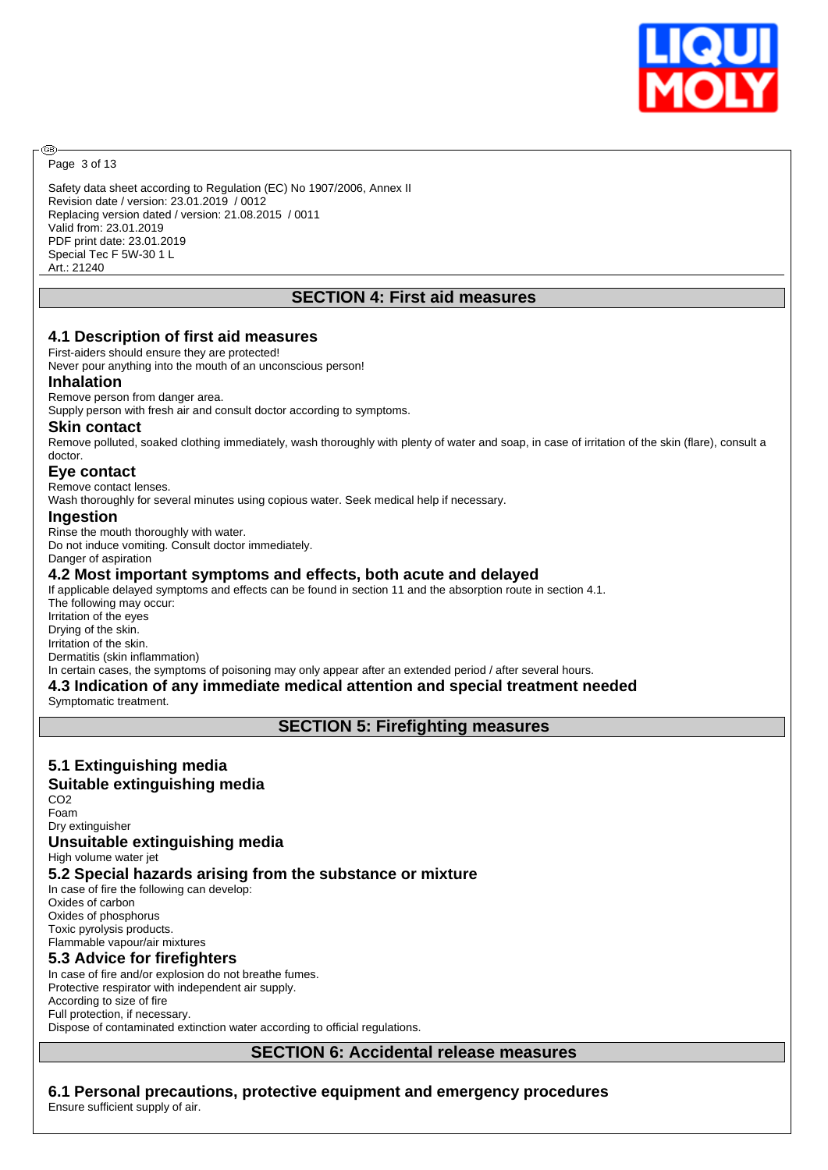

Page 3 of 13

ඹ

Safety data sheet according to Regulation (EC) No 1907/2006, Annex II Revision date / version: 23.01.2019 / 0012 Replacing version dated / version: 21.08.2015 / 0011 Valid from: 23.01.2019 PDF print date: 23.01.2019 Special Tec F 5W-30 1 L Art.: 21240

# **SECTION 4: First aid measures**

#### **4.1 Description of first aid measures**

First-aiders should ensure they are protected! Never pour anything into the mouth of an unconscious person!

#### **Inhalation**

Remove person from danger area.

Supply person with fresh air and consult doctor according to symptoms.

#### **Skin contact**

Remove polluted, soaked clothing immediately, wash thoroughly with plenty of water and soap, in case of irritation of the skin (flare), consult a doctor.

## **Eye contact**

Remove contact lenses.

Wash thoroughly for several minutes using copious water. Seek medical help if necessary.

#### **Ingestion**

Rinse the mouth thoroughly with water. Do not induce vomiting. Consult doctor immediately. Danger of aspiration

## **4.2 Most important symptoms and effects, both acute and delayed**

If applicable delayed symptoms and effects can be found in section 11 and the absorption route in section 4.1. The following may occur: Irritation of the eyes Drying of the skin. Irritation of the skin. Dermatitis (skin inflammation) In certain cases, the symptoms of poisoning may only appear after an extended period / after several hours.

# **4.3 Indication of any immediate medical attention and special treatment needed**

Symptomatic treatment.

**SECTION 5: Firefighting measures**

# **5.1 Extinguishing media**

## **Suitable extinguishing media**

CO2 Foam

#### Dry extinguisher **Unsuitable extinguishing media**

High volume water jet

## **5.2 Special hazards arising from the substance or mixture**

In case of fire the following can develop: Oxides of carbon Oxides of phosphorus

Toxic pyrolysis products. Flammable vapour/air mixtures

# **5.3 Advice for firefighters**

In case of fire and/or explosion do not breathe fumes. Protective respirator with independent air supply. According to size of fire Full protection, if necessary. Dispose of contaminated extinction water according to official regulations.

**SECTION 6: Accidental release measures**

**6.1 Personal precautions, protective equipment and emergency procedures**

Ensure sufficient supply of air.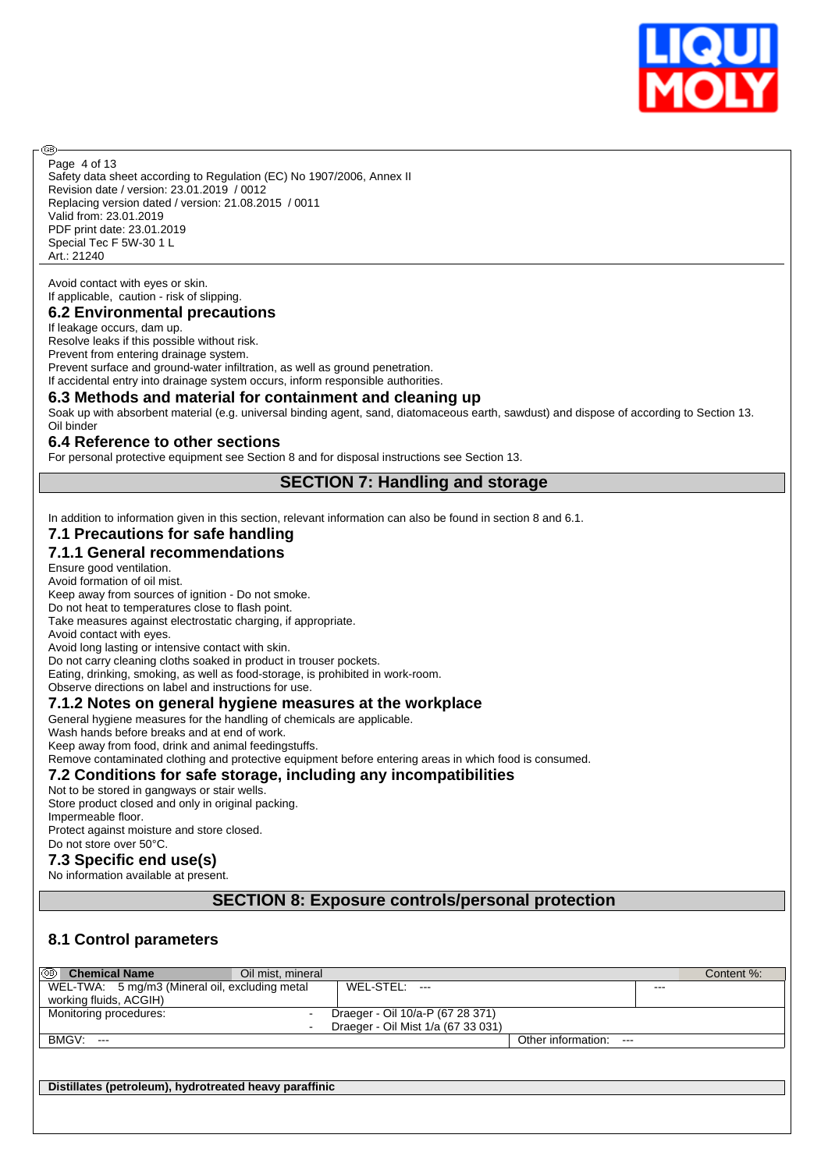

Safety data sheet according to Regulation (EC) No 1907/2006, Annex II Revision date / version: 23.01.2019 / 0012 Replacing version dated / version: 21.08.2015 / 0011 Valid from: 23.01.2019 PDF print date: 23.01.2019 Special Tec F 5W-30 1 L Art.: 21240 Page 4 of 13

Avoid contact with eyes or skin. If applicable, caution - risk of slipping.

അ

#### **6.2 Environmental precautions**

If leakage occurs, dam up.

Resolve leaks if this possible without risk.

Prevent from entering drainage system.

Prevent surface and ground-water infiltration, as well as ground penetration.

If accidental entry into drainage system occurs, inform responsible authorities.

#### **6.3 Methods and material for containment and cleaning up**

Soak up with absorbent material (e.g. universal binding agent, sand, diatomaceous earth, sawdust) and dispose of according to Section 13. Oil binder

#### **6.4 Reference to other sections**

For personal protective equipment see Section 8 and for disposal instructions see Section 13.

# **SECTION 7: Handling and storage**

In addition to information given in this section, relevant information can also be found in section 8 and 6.1.

# **7.1 Precautions for safe handling**

# **7.1.1 General recommendations**

Ensure good ventilation.

Avoid formation of oil mist. Keep away from sources of ignition - Do not smoke.

Do not heat to temperatures close to flash point.

Take measures against electrostatic charging, if appropriate.

Avoid contact with eyes.

Avoid long lasting or intensive contact with skin.

Do not carry cleaning cloths soaked in product in trouser pockets.

Eating, drinking, smoking, as well as food-storage, is prohibited in work-room.

Observe directions on label and instructions for use.

#### **7.1.2 Notes on general hygiene measures at the workplace**

General hygiene measures for the handling of chemicals are applicable.

Wash hands before breaks and at end of work.

Keep away from food, drink and animal feedingstuffs.

Remove contaminated clothing and protective equipment before entering areas in which food is consumed.

#### **7.2 Conditions for safe storage, including any incompatibilities**

#### Not to be stored in gangways or stair wells.

Store product closed and only in original packing. Impermeable floor. Protect against moisture and store closed. Do not store over 50°C.

# **7.3 Specific end use(s)**

No information available at present.

## **SECTION 8: Exposure controls/personal protection**

## **8.1 Control parameters**

| ⊛<br><b>Chemical Name</b><br>Oil mist, mineral |                                    |         | Content %: |
|------------------------------------------------|------------------------------------|---------|------------|
| WEL-TWA: 5 mg/m3 (Mineral oil, excluding metal | $WEL-STEL: ---$                    | $- - -$ |            |
| working fluids, ACGIH)                         |                                    |         |            |
| Monitoring procedures:                         | Draeger - Oil 10/a-P (67 28 371)   |         |            |
| $\blacksquare$                                 | Draeger - Oil Mist 1/a (67 33 031) |         |            |
| BMGV:<br>$---$                                 | Other information: ---             |         |            |
|                                                |                                    |         |            |
|                                                |                                    |         |            |

**Distillates (petroleum), hydrotreated heavy paraffinic**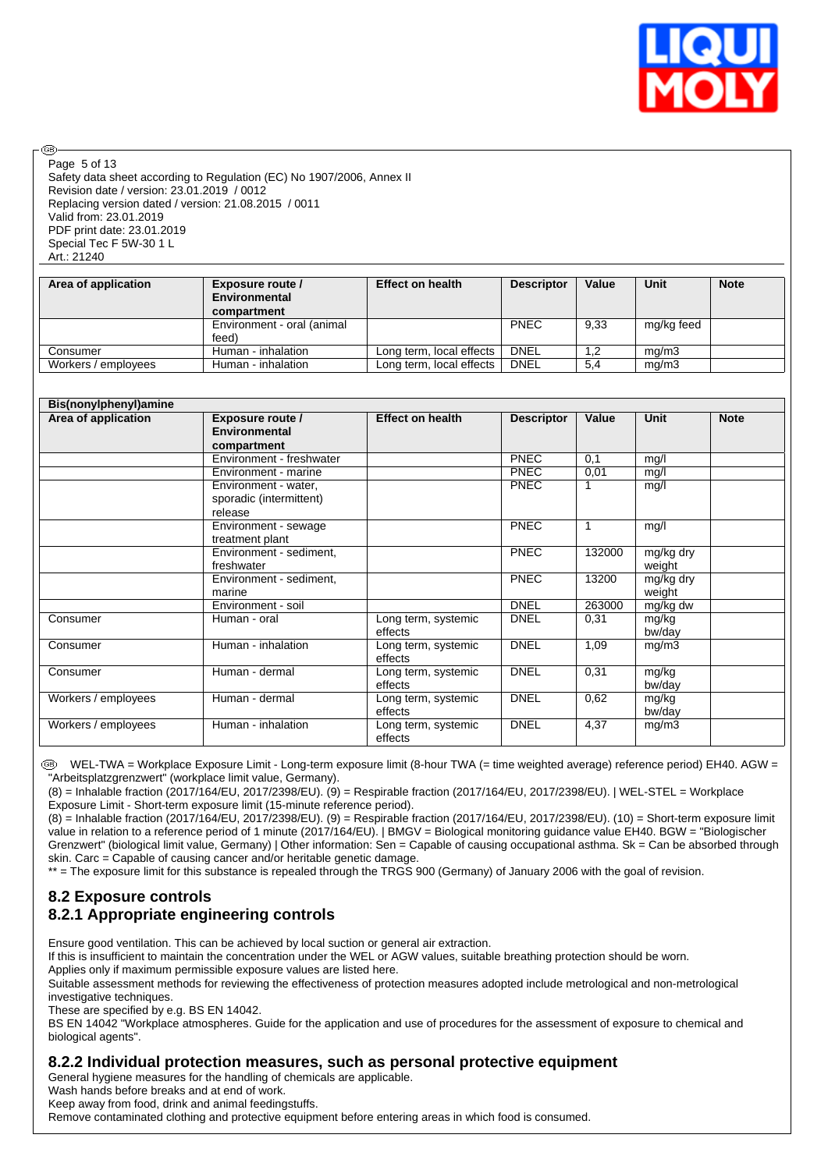

Safety data sheet according to Regulation (EC) No 1907/2006, Annex II Revision date / version: 23.01.2019 / 0012 Replacing version dated / version: 21.08.2015 / 0011 Valid from: 23.01.2019 PDF print date: 23.01.2019 Special Tec F 5W-30 1 L Art.: 21240 Page 5 of 13

൹

| Area of application | <b>Exposure route /</b><br><b>Environmental</b><br>compartment | <b>Effect on health</b>  | <b>Descriptor</b> | Value | Unit       | <b>Note</b> |
|---------------------|----------------------------------------------------------------|--------------------------|-------------------|-------|------------|-------------|
|                     | Environment - oral (animal                                     |                          | <b>PNEC</b>       | 9.33  | mg/kg feed |             |
|                     | feed)                                                          |                          |                   |       |            |             |
| Consumer            | Human - inhalation                                             | Long term, local effects | <b>DNEL</b>       | 1,2   | mg/m3      |             |
| Workers / employees | Human - inhalation                                             | Long term, local effects | DNEL              | 5,4   | mq/m3      |             |

| Bis(nonylphenyl)amine |                                                            |                                |                   |        |                     |             |
|-----------------------|------------------------------------------------------------|--------------------------------|-------------------|--------|---------------------|-------------|
| Area of application   | <b>Exposure route /</b><br>Environmental<br>compartment    | <b>Effect on health</b>        | <b>Descriptor</b> | Value  | <b>Unit</b>         | <b>Note</b> |
|                       | Environment - freshwater                                   |                                | <b>PNEC</b>       | 0,1    | mg/l                |             |
|                       | Environment - marine                                       |                                | <b>PNEC</b>       | 0,01   | mg/l                |             |
|                       | Environment - water,<br>sporadic (intermittent)<br>release |                                | <b>PNEC</b>       |        | mg/l                |             |
|                       | Environment - sewage<br>treatment plant                    |                                | PNEC              | 1      | mg/l                |             |
|                       | Environment - sediment.<br>freshwater                      |                                | <b>PNEC</b>       | 132000 | mg/kg dry<br>weight |             |
|                       | Environment - sediment,<br>marine                          |                                | <b>PNEC</b>       | 13200  | mg/kg dry<br>weight |             |
|                       | Environment - soil                                         |                                | <b>DNEL</b>       | 263000 | mg/kg dw            |             |
| Consumer              | Human - oral                                               | Long term, systemic<br>effects | <b>DNEL</b>       | 0,31   | mg/kg<br>bw/day     |             |
| Consumer              | Human - inhalation                                         | Long term, systemic<br>effects | <b>DNEL</b>       | 1,09   | mg/m3               |             |
| Consumer              | Human - dermal                                             | Long term, systemic<br>effects | <b>DNEL</b>       | 0,31   | mg/kg<br>bw/day     |             |
| Workers / employees   | Human - dermal                                             | Long term, systemic<br>effects | <b>DNEL</b>       | 0,62   | mg/kg<br>bw/day     |             |
| Workers / employees   | Human - inhalation                                         | Long term, systemic<br>effects | <b>DNEL</b>       | 4,37   | mg/m3               |             |

 WEL-TWA = Workplace Exposure Limit - Long-term exposure limit (8-hour TWA (= time weighted average) reference period) EH40. AGW = "Arbeitsplatzgrenzwert" (workplace limit value, Germany).

(8) = Inhalable fraction (2017/164/EU, 2017/2398/EU). (9) = Respirable fraction (2017/164/EU, 2017/2398/EU). | WEL-STEL = Workplace Exposure Limit - Short-term exposure limit (15-minute reference period).

(8) = Inhalable fraction (2017/164/EU, 2017/2398/EU). (9) = Respirable fraction (2017/164/EU, 2017/2398/EU). (10) = Short-term exposure limit value in relation to a reference period of 1 minute (2017/164/EU). | BMGV = Biological monitoring guidance value EH40. BGW = "Biologischer Grenzwert" (biological limit value, Germany) | Other information: Sen = Capable of causing occupational asthma. Sk = Can be absorbed through skin. Carc = Capable of causing cancer and/or heritable genetic damage.

\*\* = The exposure limit for this substance is repealed through the TRGS 900 (Germany) of January 2006 with the goal of revision.

# **8.2 Exposure controls 8.2.1 Appropriate engineering controls**

Ensure good ventilation. This can be achieved by local suction or general air extraction.

If this is insufficient to maintain the concentration under the WEL or AGW values, suitable breathing protection should be worn. Applies only if maximum permissible exposure values are listed here.

Suitable assessment methods for reviewing the effectiveness of protection measures adopted include metrological and non-metrological investigative techniques.

These are specified by e.g. BS EN 14042.

BS EN 14042 "Workplace atmospheres. Guide for the application and use of procedures for the assessment of exposure to chemical and biological agents".

#### **8.2.2 Individual protection measures, such as personal protective equipment**

General hygiene measures for the handling of chemicals are applicable.

Wash hands before breaks and at end of work.

Keep away from food, drink and animal feedingstuffs.

Remove contaminated clothing and protective equipment before entering areas in which food is consumed.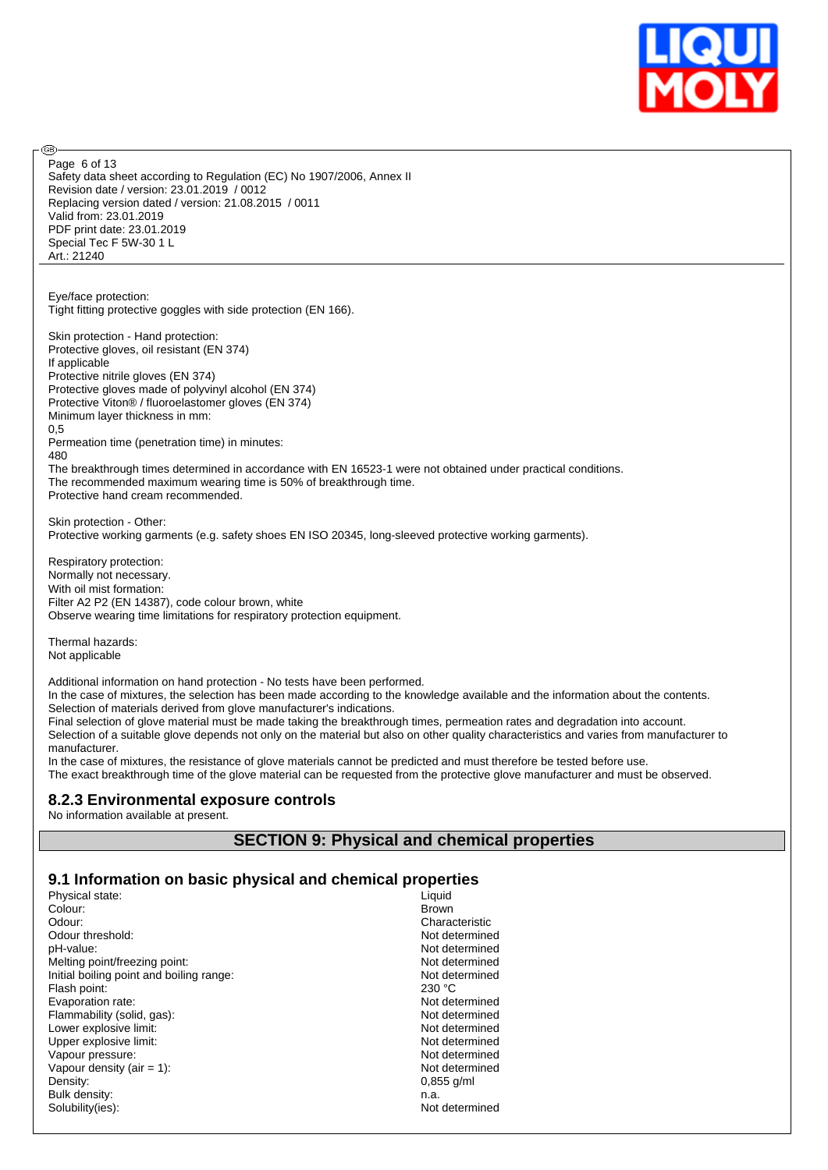

Safety data sheet according to Regulation (EC) No 1907/2006, Annex II Revision date / version: 23.01.2019 / 0012 Replacing version dated / version: 21.08.2015 / 0011 Valid from: 23.01.2019 PDF print date: 23.01.2019 Special Tec F 5W-30 1 L Art.: 21240 Page 6 of 13

Eye/face protection: Tight fitting protective goggles with side protection (EN 166).

Skin protection - Hand protection: Protective gloves, oil resistant (EN 374) If applicable Protective nitrile gloves (EN 374) Protective gloves made of polyvinyl alcohol (EN 374) Protective Viton® / fluoroelastomer gloves (EN 374) Minimum layer thickness in mm: 0,5 Permeation time (penetration time) in minutes: 480

The breakthrough times determined in accordance with EN 16523-1 were not obtained under practical conditions. The recommended maximum wearing time is 50% of breakthrough time. Protective hand cream recommended.

Skin protection - Other: Protective working garments (e.g. safety shoes EN ISO 20345, long-sleeved protective working garments).

Respiratory protection: Normally not necessary. With oil mist formation: Filter A2 P2 (EN 14387), code colour brown, white Observe wearing time limitations for respiratory protection equipment.

Thermal hazards: Not applicable

അ

Additional information on hand protection - No tests have been performed.

In the case of mixtures, the selection has been made according to the knowledge available and the information about the contents. Selection of materials derived from glove manufacturer's indications.

Final selection of glove material must be made taking the breakthrough times, permeation rates and degradation into account.

Selection of a suitable glove depends not only on the material but also on other quality characteristics and varies from manufacturer to manufacturer.

In the case of mixtures, the resistance of glove materials cannot be predicted and must therefore be tested before use. The exact breakthrough time of the glove material can be requested from the protective glove manufacturer and must be observed.

# **8.2.3 Environmental exposure controls**

No information available at present.

# **SECTION 9: Physical and chemical properties**

## **9.1 Information on basic physical and chemical properties**

| Physical state:                          | Liquid         |
|------------------------------------------|----------------|
| Colour:                                  | <b>Brown</b>   |
| Odour:                                   | Characteristic |
| Odour threshold:                         | Not determined |
| pH-value:                                | Not determined |
| Melting point/freezing point:            | Not determined |
| Initial boiling point and boiling range: | Not determined |
| Flash point:                             | 230 °C         |
| Evaporation rate:                        | Not determined |
| Flammability (solid, gas):               | Not determined |
| Lower explosive limit:                   | Not determined |
| Upper explosive limit:                   | Not determined |
| Vapour pressure:                         | Not determined |
| Vapour density (air $= 1$ ):             | Not determined |
| Density:                                 | $0.855$ g/ml   |
| Bulk density:                            | n.a.           |
| Solubility(ies):                         | Not determined |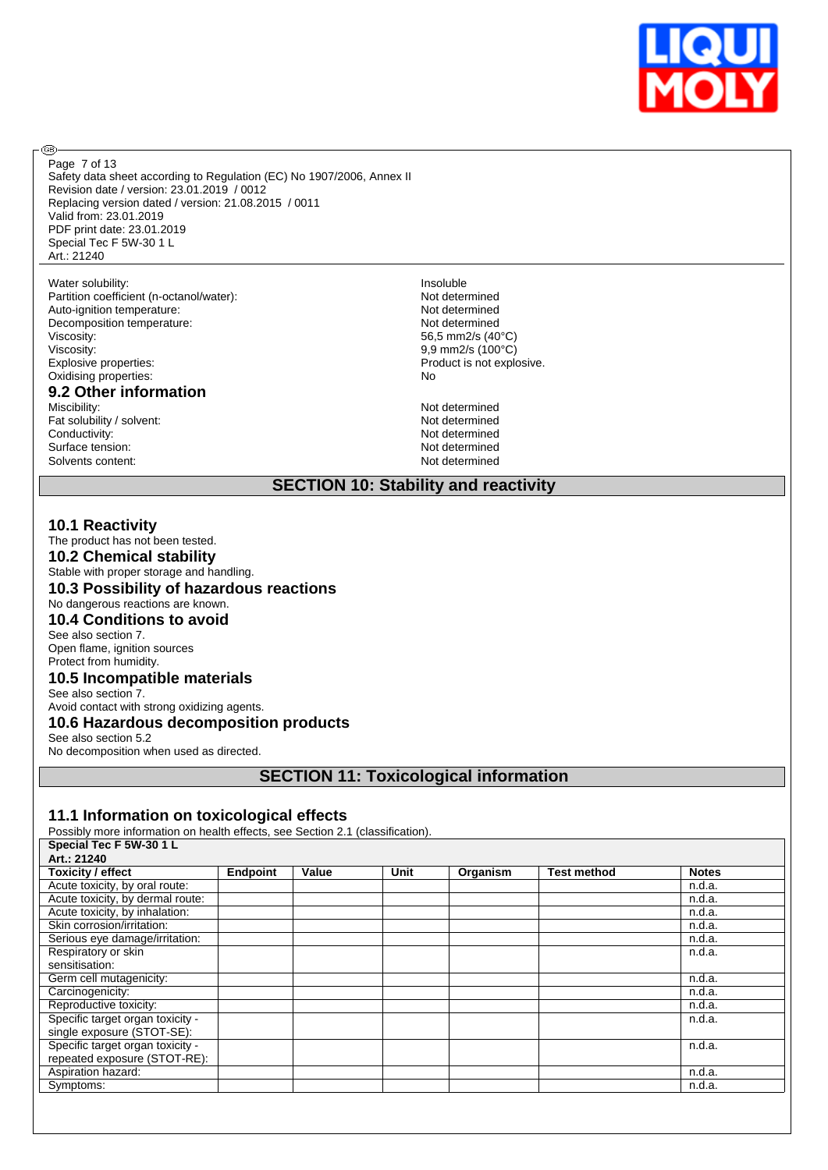

® Page 7 of 13

Safety data sheet according to Regulation (EC) No 1907/2006, Annex II Revision date / version: 23.01.2019 / 0012 Replacing version dated / version: 21.08.2015 / 0011 Valid from: 23.01.2019 PDF print date: 23.01.2019 Special Tec F 5W-30 1 L Art.: 21240

Water solubility:<br>
Partition coefficient (n-octanol/water):<br>
Partition coefficient (n-octanol/water):<br>
Partition coefficient (n-octanol/water): Partition coefficient (n-octanol/water):<br>
Auto-ignition temperature: Not determined<br>
Not determined Auto-ignition temperature: Decomposition temperature: Not determined<br>Viscosity: 65,5 mm2/s (40 Viscosity:<br>
Explosive properties:<br>
Explosive properties:<br>
Product is not explo Oxidising properties:

# **9.2 Other information**

Fat solubility / solvent:<br>
Conductivity:<br>
Conductivity:<br>
Not determined Conductivity: Not determined<br>Surface tension: Not determined<br>Not determined Surface tension: Not determined<br>Solvents content: Not determined<br>Not determined Solvents content:

56,5 mm2/s (40°C) Product is not explosive.<br>No

Not determined<br>Not determined

# **SECTION 10: Stability and reactivity**

## **10.1 Reactivity**

The product has not been tested. **10.2 Chemical stability** Stable with proper storage and handling. **10.3 Possibility of hazardous reactions** No dangerous reactions are known. **10.4 Conditions to avoid** See also section 7.

Open flame, ignition sources Protect from humidity.

#### **10.5 Incompatible materials**

See also section 7. Avoid contact with strong oxidizing agents.

**10.6 Hazardous decomposition products**

#### See also section 5.2

No decomposition when used as directed.

## **SECTION 11: Toxicological information**

## **11.1 Information on toxicological effects**

Possibly more information on health effects, see Section 2.1 (classification).

| Special Tec F 5W-30 1 L          |                 |       |      |          |                    |              |
|----------------------------------|-----------------|-------|------|----------|--------------------|--------------|
| Art.: 21240                      |                 |       |      |          |                    |              |
| <b>Toxicity / effect</b>         | <b>Endpoint</b> | Value | Unit | Organism | <b>Test method</b> | <b>Notes</b> |
| Acute toxicity, by oral route:   |                 |       |      |          |                    | n.d.a.       |
| Acute toxicity, by dermal route: |                 |       |      |          |                    | n.d.a.       |
| Acute toxicity, by inhalation:   |                 |       |      |          |                    | n.d.a.       |
| Skin corrosion/irritation:       |                 |       |      |          |                    | n.d.a.       |
| Serious eye damage/irritation:   |                 |       |      |          |                    | n.d.a.       |
| Respiratory or skin              |                 |       |      |          |                    | n.d.a.       |
| sensitisation:                   |                 |       |      |          |                    |              |
| Germ cell mutagenicity:          |                 |       |      |          |                    | n.d.a.       |
| Carcinogenicity:                 |                 |       |      |          |                    | n.d.a.       |
| Reproductive toxicity:           |                 |       |      |          |                    | n.d.a.       |
| Specific target organ toxicity - |                 |       |      |          |                    | n.d.a.       |
| single exposure (STOT-SE):       |                 |       |      |          |                    |              |
| Specific target organ toxicity - |                 |       |      |          |                    | n.d.a.       |
| repeated exposure (STOT-RE):     |                 |       |      |          |                    |              |
| Aspiration hazard:               |                 |       |      |          |                    | n.d.a.       |
| Symptoms:                        |                 |       |      |          |                    | n.d.a.       |
|                                  |                 |       |      |          |                    |              |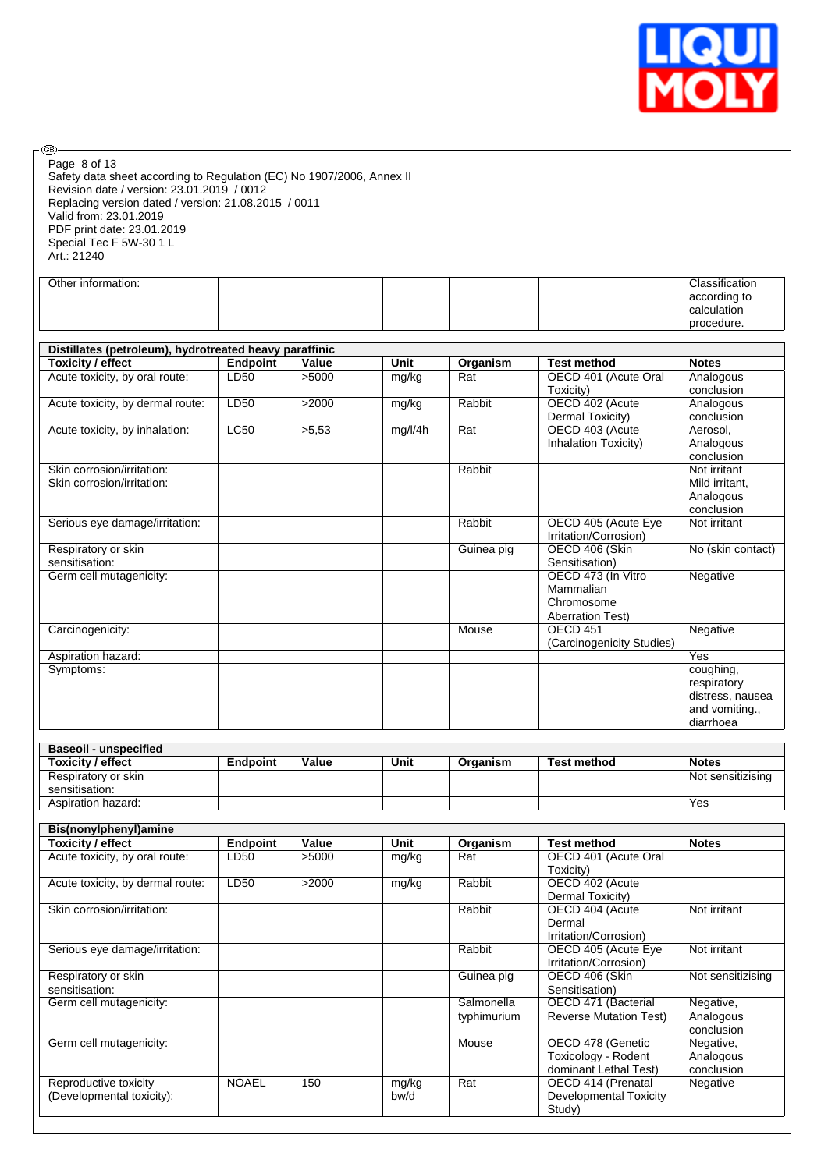

| Page 8 of 13<br>Safety data sheet according to Regulation (EC) No 1907/2006, Annex II<br>Revision date / version: 23.01.2019 / 0012<br>Replacing version dated / version: 21.08.2015 / 0011<br>Valid from: 23.01.2019<br>PDF print date: 23.01.2019 |                 |       |               |                           |                                                                   |                                                                             |
|-----------------------------------------------------------------------------------------------------------------------------------------------------------------------------------------------------------------------------------------------------|-----------------|-------|---------------|---------------------------|-------------------------------------------------------------------|-----------------------------------------------------------------------------|
| Special Tec F 5W-30 1 L<br>Art.: 21240                                                                                                                                                                                                              |                 |       |               |                           |                                                                   |                                                                             |
| Other information:                                                                                                                                                                                                                                  |                 |       |               |                           |                                                                   | Classification                                                              |
|                                                                                                                                                                                                                                                     |                 |       |               |                           |                                                                   | according to<br>calculation<br>procedure.                                   |
|                                                                                                                                                                                                                                                     |                 |       |               |                           |                                                                   |                                                                             |
| Distillates (petroleum), hydrotreated heavy paraffinic<br><b>Toxicity / effect</b>                                                                                                                                                                  | <b>Endpoint</b> | Value | Unit          | Organism                  | <b>Test method</b>                                                | <b>Notes</b>                                                                |
| Acute toxicity, by oral route:                                                                                                                                                                                                                      | LD50            | >5000 | mg/kg         | Rat                       | OECD 401 (Acute Oral<br>Toxicity)                                 | Analogous<br>conclusion                                                     |
| Acute toxicity, by dermal route:                                                                                                                                                                                                                    | LD50            | >2000 | mg/kg         | Rabbit                    | OECD 402 (Acute<br>Dermal Toxicity)                               | Analogous<br>conclusion                                                     |
| Acute toxicity, by inhalation:                                                                                                                                                                                                                      | <b>LC50</b>     | >5,53 | mg/l/4h       | Rat                       | OECD 403 (Acute<br>Inhalation Toxicity)                           | Aerosol,<br>Analogous<br>conclusion                                         |
| Skin corrosion/irritation:                                                                                                                                                                                                                          |                 |       |               | Rabbit                    |                                                                   | Not irritant                                                                |
| Skin corrosion/irritation:                                                                                                                                                                                                                          |                 |       |               |                           |                                                                   | Mild irritant,<br>Analogous<br>conclusion                                   |
| Serious eye damage/irritation:                                                                                                                                                                                                                      |                 |       |               | Rabbit                    | OECD 405 (Acute Eye<br>Irritation/Corrosion)                      | Not irritant                                                                |
| Respiratory or skin<br>sensitisation:                                                                                                                                                                                                               |                 |       |               | Guinea pig                | OECD 406 (Skin<br>Sensitisation)                                  | No (skin contact)                                                           |
| Germ cell mutagenicity:                                                                                                                                                                                                                             |                 |       |               |                           | OECD 473 (In Vitro<br>Mammalian<br>Chromosome                     | Negative                                                                    |
| Carcinogenicity:                                                                                                                                                                                                                                    |                 |       |               | Mouse                     | <b>Aberration Test)</b><br>OECD <sub>451</sub>                    | Negative                                                                    |
| Aspiration hazard:                                                                                                                                                                                                                                  |                 |       |               |                           | (Carcinogenicity Studies)                                         | <b>Yes</b>                                                                  |
| Symptoms:                                                                                                                                                                                                                                           |                 |       |               |                           |                                                                   | coughing,<br>respiratory<br>distress, nausea<br>and vomiting.,<br>diarrhoea |
| <b>Baseoil - unspecified</b>                                                                                                                                                                                                                        |                 |       |               |                           |                                                                   |                                                                             |
| <b>Toxicity / effect</b>                                                                                                                                                                                                                            | <b>Endpoint</b> | Value | Unit          | Organism                  | <b>Test method</b>                                                | <b>Notes</b>                                                                |
| Respiratory or skin<br>sensitisation:                                                                                                                                                                                                               |                 |       |               |                           |                                                                   | Not sensitizising                                                           |
| Aspiration hazard:                                                                                                                                                                                                                                  |                 |       |               |                           |                                                                   | Yes                                                                         |
| Bis(nonylphenyl)amine                                                                                                                                                                                                                               |                 |       |               |                           |                                                                   |                                                                             |
| <b>Toxicity / effect</b>                                                                                                                                                                                                                            | <b>Endpoint</b> | Value | Unit          | Organism                  | <b>Test method</b>                                                | <b>Notes</b>                                                                |
| Acute toxicity, by oral route:                                                                                                                                                                                                                      | LD50            | >5000 | mg/kg         | Rat                       | OECD 401 (Acute Oral<br>Toxicity)                                 |                                                                             |
| Acute toxicity, by dermal route:                                                                                                                                                                                                                    | LD50            | >2000 | mg/kg         | Rabbit                    | OECD 402 (Acute<br>Dermal Toxicity)                               |                                                                             |
| Skin corrosion/irritation:                                                                                                                                                                                                                          |                 |       |               | Rabbit                    | OECD 404 (Acute<br>Dermal<br>Irritation/Corrosion)                | Not irritant                                                                |
| Serious eye damage/irritation:                                                                                                                                                                                                                      |                 |       |               | Rabbit                    | OECD 405 (Acute Eye<br>Irritation/Corrosion)                      | Not irritant                                                                |
| Respiratory or skin<br>sensitisation:                                                                                                                                                                                                               |                 |       |               | Guinea pig                | OECD 406 (Skin<br>Sensitisation)                                  | Not sensitizising                                                           |
| Germ cell mutagenicity:                                                                                                                                                                                                                             |                 |       |               | Salmonella<br>typhimurium | OECD 471 (Bacterial<br><b>Reverse Mutation Test)</b>              | Negative,<br>Analogous<br>conclusion                                        |
| Germ cell mutagenicity:                                                                                                                                                                                                                             |                 |       |               | Mouse                     | OECD 478 (Genetic<br>Toxicology - Rodent<br>dominant Lethal Test) | Negative,<br>Analogous<br>conclusion                                        |
| Reproductive toxicity<br>(Developmental toxicity):                                                                                                                                                                                                  | <b>NOAEL</b>    | 150   | mg/kg<br>bw/d | Rat                       | OECD 414 (Prenatal<br><b>Developmental Toxicity</b><br>Study)     | Negative                                                                    |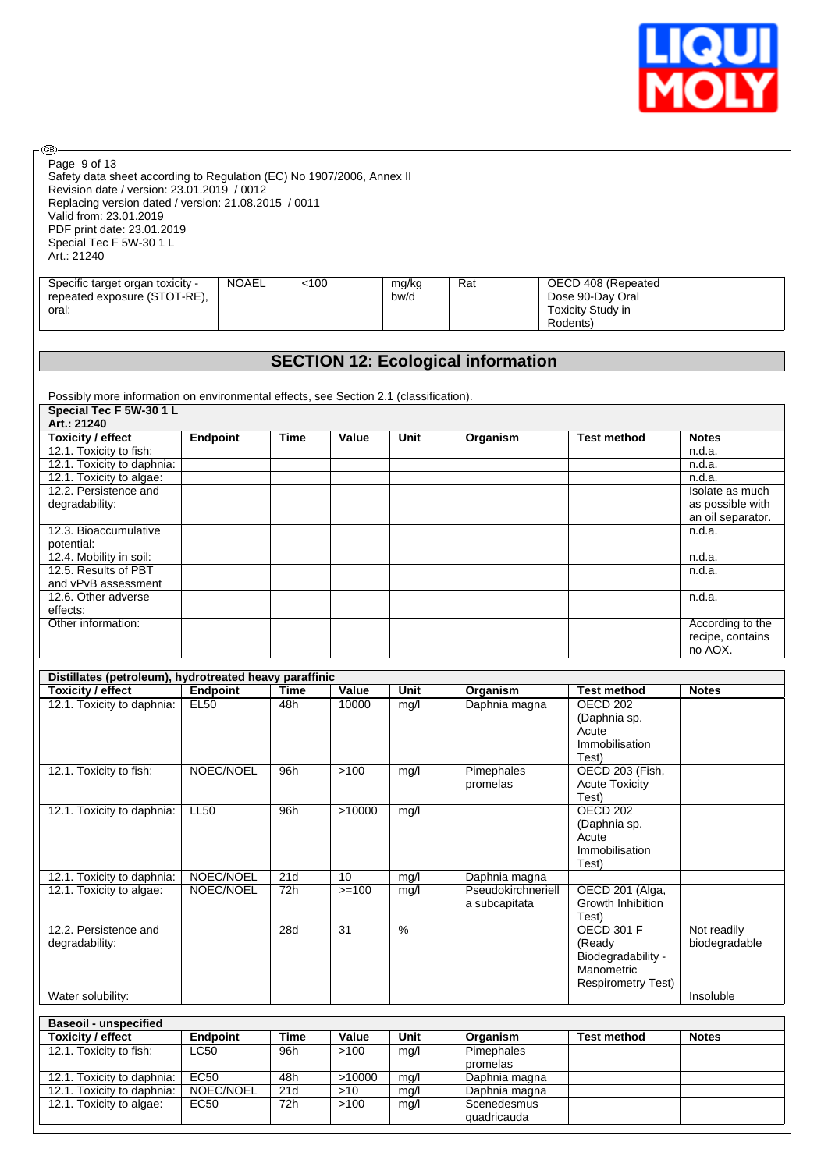

| @-                                                                                                 |                          |             |                 |               |                                           |                                       |                                     |
|----------------------------------------------------------------------------------------------------|--------------------------|-------------|-----------------|---------------|-------------------------------------------|---------------------------------------|-------------------------------------|
| Page 9 of 13<br>Safety data sheet according to Regulation (EC) No 1907/2006, Annex II              |                          |             |                 |               |                                           |                                       |                                     |
| Revision date / version: 23.01.2019 / 0012<br>Replacing version dated / version: 21.08.2015 / 0011 |                          |             |                 |               |                                           |                                       |                                     |
| Valid from: 23.01.2019                                                                             |                          |             |                 |               |                                           |                                       |                                     |
| PDF print date: 23.01.2019                                                                         |                          |             |                 |               |                                           |                                       |                                     |
| Special Tec F 5W-30 1 L                                                                            |                          |             |                 |               |                                           |                                       |                                     |
| Art.: 21240                                                                                        |                          |             |                 |               |                                           |                                       |                                     |
|                                                                                                    |                          |             |                 |               |                                           |                                       |                                     |
| Specific target organ toxicity -<br>repeated exposure (STOT-RE),                                   | <b>NOAEL</b>             | < 100       |                 | mg/kg<br>bw/d | Rat                                       | OECD 408 (Repeated                    |                                     |
| oral:                                                                                              |                          |             |                 |               |                                           | Dose 90-Day Oral<br>Toxicity Study in |                                     |
|                                                                                                    |                          |             |                 |               |                                           | Rodents)                              |                                     |
|                                                                                                    |                          |             |                 |               |                                           |                                       |                                     |
|                                                                                                    |                          |             |                 |               |                                           |                                       |                                     |
|                                                                                                    |                          |             |                 |               | <b>SECTION 12: Ecological information</b> |                                       |                                     |
|                                                                                                    |                          |             |                 |               |                                           |                                       |                                     |
| Possibly more information on environmental effects, see Section 2.1 (classification).              |                          |             |                 |               |                                           |                                       |                                     |
| Special Tec F 5W-30 1 L                                                                            |                          |             |                 |               |                                           |                                       |                                     |
| Art.: 21240                                                                                        |                          |             |                 |               |                                           |                                       |                                     |
| <b>Toxicity / effect</b>                                                                           | Endpoint                 | <b>Time</b> | Value           | Unit          | Organism                                  | <b>Test method</b>                    | <b>Notes</b>                        |
| 12.1. Toxicity to fish:                                                                            |                          |             |                 |               |                                           |                                       | n.d.a.                              |
| 12.1. Toxicity to daphnia:                                                                         |                          |             |                 |               |                                           |                                       | n.d.a.                              |
| 12.1. Toxicity to algae:                                                                           |                          |             |                 |               |                                           |                                       | n.d.a.                              |
| 12.2. Persistence and<br>degradability:                                                            |                          |             |                 |               |                                           |                                       | Isolate as much<br>as possible with |
|                                                                                                    |                          |             |                 |               |                                           |                                       | an oil separator.                   |
| 12.3. Bioaccumulative                                                                              |                          |             |                 |               |                                           |                                       | n.d.a.                              |
| potential:                                                                                         |                          |             |                 |               |                                           |                                       |                                     |
| 12.4. Mobility in soil:                                                                            |                          |             |                 |               |                                           |                                       | n.d.a.                              |
| 12.5. Results of PBT                                                                               |                          |             |                 |               |                                           |                                       | n.d.a.                              |
| and vPvB assessment                                                                                |                          |             |                 |               |                                           |                                       |                                     |
| 12.6. Other adverse                                                                                |                          |             |                 |               |                                           |                                       | n.d.a.                              |
| effects:<br>Other information:                                                                     |                          |             |                 |               |                                           |                                       | According to the                    |
|                                                                                                    |                          |             |                 |               |                                           |                                       | recipe, contains                    |
|                                                                                                    |                          |             |                 |               |                                           |                                       | no AOX.                             |
|                                                                                                    |                          |             |                 |               |                                           |                                       |                                     |
| Distillates (petroleum), hydrotreated heavy paraffinic                                             |                          |             |                 |               |                                           |                                       |                                     |
| <b>Toxicity / effect</b>                                                                           | Endpoint                 | <b>Time</b> | Value           | Unit          | Organism                                  | <b>Test method</b>                    | <b>Notes</b>                        |
| 12.1. Toxicity to daphnia:                                                                         | <b>EL50</b>              | 48h         | 10000           | mq/l          | Daphnia magna                             | <b>OECD 202</b>                       |                                     |
|                                                                                                    |                          |             |                 |               |                                           | (Daphnia sp.                          |                                     |
|                                                                                                    |                          |             |                 |               |                                           | Acute<br>Immobilisation               |                                     |
|                                                                                                    |                          |             |                 |               |                                           | Test)                                 |                                     |
| 12.1. Toxicity to fish:                                                                            | NOEC/NOEL                | 96h         | $>100$          | mg/l          | Pimephales                                | OECD 203 (Fish,                       |                                     |
|                                                                                                    |                          |             |                 |               | promelas                                  | <b>Acute Toxicity</b>                 |                                     |
|                                                                                                    |                          |             |                 |               |                                           | Test)                                 |                                     |
| 12.1. Toxicity to daphnia:                                                                         | <b>LL50</b>              | 96h         | >10000          | mg/l          |                                           | <b>OECD 202</b>                       |                                     |
|                                                                                                    |                          |             |                 |               |                                           | (Daphnia sp.                          |                                     |
|                                                                                                    |                          |             |                 |               |                                           | Acute                                 |                                     |
|                                                                                                    |                          |             |                 |               |                                           | Immobilisation<br>Test)               |                                     |
| 12.1. Toxicity to daphnia:                                                                         | NOEC/NOEL                | 21d         | 10              | mg/l          | Daphnia magna                             |                                       |                                     |
| 12.1. Toxicity to algae:                                                                           | NOEC/NOEL                | 72h         | $>=100$         | mg/l          | Pseudokirchneriell                        | OECD 201 (Alga,                       |                                     |
|                                                                                                    |                          |             |                 |               | a subcapitata                             | Growth Inhibition                     |                                     |
|                                                                                                    |                          |             |                 |               |                                           | Test)                                 |                                     |
| 12.2. Persistence and                                                                              |                          | 28d         | $\overline{31}$ | $\frac{9}{6}$ |                                           | <b>OECD 301 F</b>                     | Not readily                         |
| degradability:                                                                                     |                          |             |                 |               |                                           | (Ready                                | biodegradable                       |
|                                                                                                    |                          |             |                 |               |                                           | Biodegradability -<br>Manometric      |                                     |
|                                                                                                    |                          |             |                 |               |                                           | <b>Respirometry Test)</b>             |                                     |
| Water solubility:                                                                                  |                          |             |                 |               |                                           |                                       | Insoluble                           |
|                                                                                                    |                          |             |                 |               |                                           |                                       |                                     |
| <b>Baseoil - unspecified</b>                                                                       |                          |             |                 |               |                                           |                                       |                                     |
| <b>Toxicity / effect</b>                                                                           | <b>Endpoint</b>          | <b>Time</b> | Value           | Unit          | Organism                                  | <b>Test method</b>                    | <b>Notes</b>                        |
| 12.1. Toxicity to fish:                                                                            | <b>LC50</b>              | 96h         | >100            | mg/l          | Pimephales                                |                                       |                                     |
|                                                                                                    |                          |             |                 |               | promelas                                  |                                       |                                     |
| 12.1. Toxicity to daphnia:<br>12.1. Toxicity to daphnia:                                           | <b>EC50</b><br>NOEC/NOEL | 48h<br>21d  | >10000<br>>10   | mg/l          | Daphnia magna<br>Daphnia magna            |                                       |                                     |
| 12.1. Toxicity to algae:                                                                           | <b>EC50</b>              | 72h         | $>100$          | mg/l<br>mg/l  | Scenedesmus                               |                                       |                                     |
|                                                                                                    |                          |             |                 |               | quadricauda                               |                                       |                                     |
|                                                                                                    |                          |             |                 |               |                                           |                                       |                                     |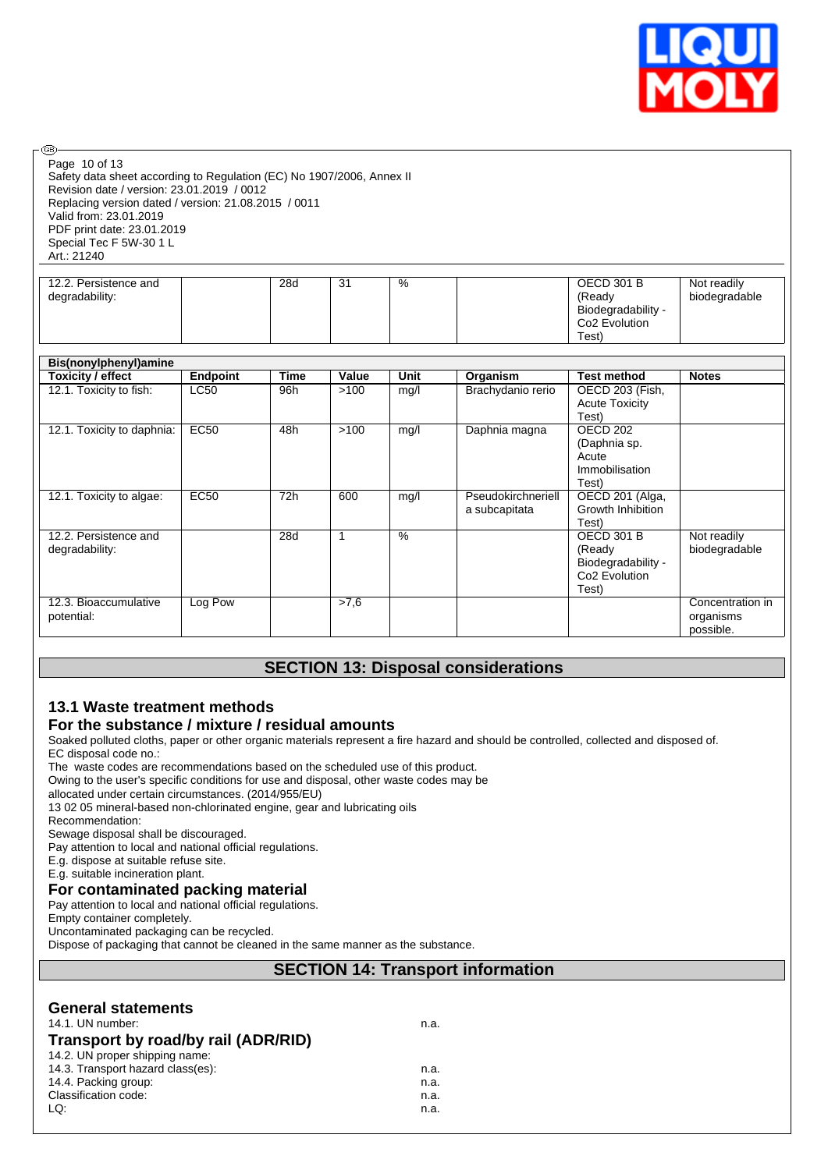

Safety data sheet according to Regulation (EC) No 1907/2006, Annex II Revision date / version: 23.01.2019 / 0012 Replacing version dated / version: 21.08.2015 / 0011 Valid from: 23.01.2019 PDF print date: 23.01.2019 Special Tec F 5W-30 1 L Art.: 21240 Page 10 of 13

| 12.2. Persistence and<br>degradability: | 28d | $\sim$<br>. ب | % | <b>OECD 301 B</b><br>(Readv<br>Biodegradability -<br>Co <sub>2</sub> Evolution | Not readily<br>biodegradable |
|-----------------------------------------|-----|---------------|---|--------------------------------------------------------------------------------|------------------------------|
|                                         |     |               |   |                                                                                |                              |
|                                         |     |               |   | $\tau_{\mathsf{est}}$                                                          |                              |

| Bis(nonylphenyl)amine                   |                 |      |       |               |                                     |                                                                                         |                                            |  |
|-----------------------------------------|-----------------|------|-------|---------------|-------------------------------------|-----------------------------------------------------------------------------------------|--------------------------------------------|--|
| Toxicity / effect                       | <b>Endpoint</b> | Time | Value | <b>Unit</b>   | Organism                            | <b>Test method</b>                                                                      | <b>Notes</b>                               |  |
| 12.1. Toxicity to fish:                 | LC50            | 96h  | >100  | mg/l          | Brachydanio rerio                   | OECD 203 (Fish,<br><b>Acute Toxicity</b><br>Test)                                       |                                            |  |
| 12.1. Toxicity to daphnia:              | <b>EC50</b>     | 48h  | >100  | mg/l          | Daphnia magna                       | OECD 202<br>(Daphnia sp.<br>Acute<br>Immobilisation<br>Test)                            |                                            |  |
| 12.1. Toxicity to algae:                | <b>EC50</b>     | 72h  | 600   | mg/l          | Pseudokirchneriell<br>a subcapitata | OECD 201 (Alga,<br>Growth Inhibition<br>Test)                                           |                                            |  |
| 12.2. Persistence and<br>degradability: |                 | 28d  | 1     | $\frac{0}{0}$ |                                     | <b>OECD 301 B</b><br>(Ready<br>Biodegradability -<br>Co <sub>2</sub> Evolution<br>Test) | Not readily<br>biodegradable               |  |
| 12.3. Bioaccumulative<br>potential:     | Log Pow         |      | >7,6  |               |                                     |                                                                                         | Concentration in<br>organisms<br>possible. |  |

# **SECTION 13: Disposal considerations**

# **13.1 Waste treatment methods**

# **For the substance / mixture / residual amounts**

Soaked polluted cloths, paper or other organic materials represent a fire hazard and should be controlled, collected and disposed of. EC disposal code no.:

The waste codes are recommendations based on the scheduled use of this product.

Owing to the user's specific conditions for use and disposal, other waste codes may be

allocated under certain circumstances. (2014/955/EU)

13 02 05 mineral-based non-chlorinated engine, gear and lubricating oils

Recommendation:

**®** 

Sewage disposal shall be discouraged.

Pay attention to local and national official regulations.

E.g. dispose at suitable refuse site.

E.g. suitable incineration plant.

#### **For contaminated packing material**

Pay attention to local and national official regulations.

Empty container completely.

Uncontaminated packaging can be recycled.

Dispose of packaging that cannot be cleaned in the same manner as the substance.

# **SECTION 14: Transport information**

| <b>General statements</b><br>14.1. UN number:<br>Transport by road/by rail (ADR/RID)<br>14.2. UN proper shipping name: | n.a. |  |
|------------------------------------------------------------------------------------------------------------------------|------|--|
| 14.3. Transport hazard class(es):                                                                                      | n.a. |  |
| 14.4. Packing group:                                                                                                   | n.a. |  |
| Classification code:                                                                                                   | n.a. |  |
| LQ:                                                                                                                    | n.a. |  |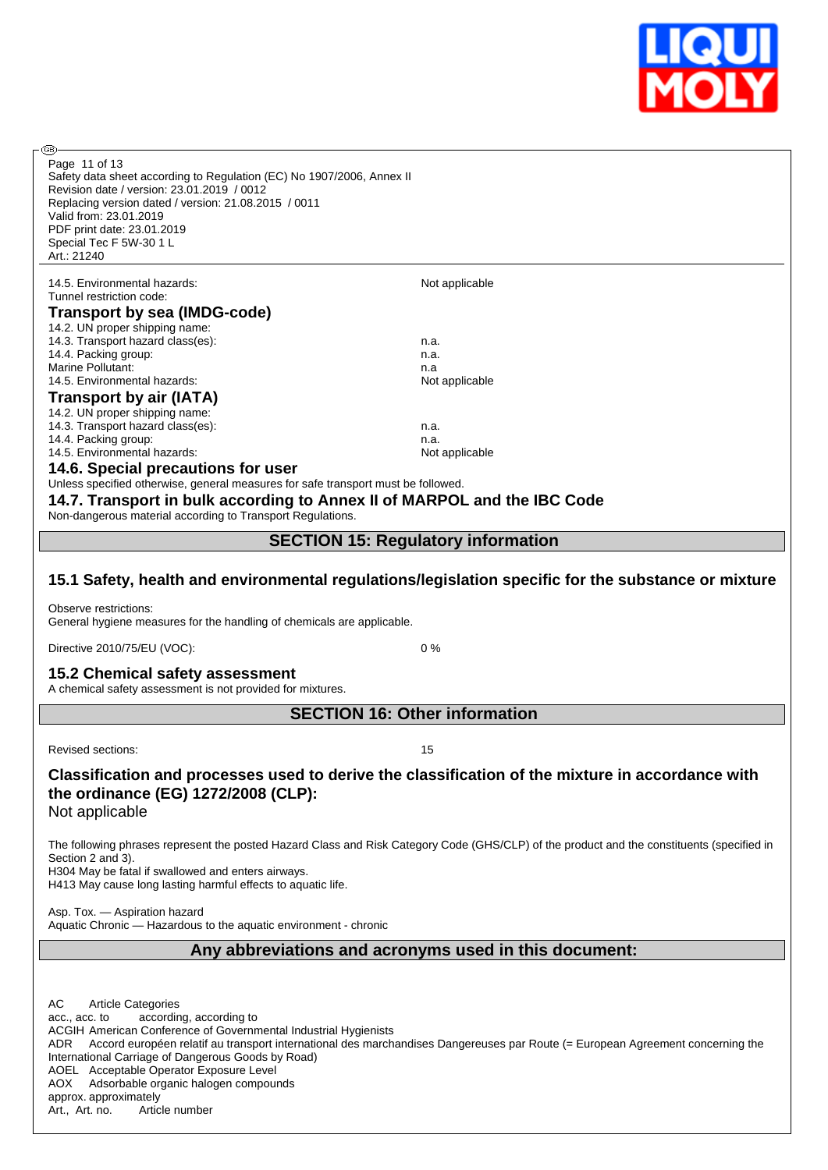

അ Page 11 of 13Safety data sheet according to Regulation (EC) No 1907/2006, Annex II Revision date / version: 23.01.2019 / 0012 Replacing version dated / version: 21.08.2015 / 0011 Valid from: 23.01.2019 PDF print date: 23.01.2019 Special Tec F 5W-30 1 L Art.: 21240 14.5. Environmental hazards: Not applicable Not applicable Tunnel restriction code: **Transport by sea (IMDG-code)** 14.2. UN proper shipping name: 14.3. Transport hazard class(es): n.a. 14.4. Packing group: n.a. Marine Pollutant: n.a. 14.5. Environmental hazards: Not applicable 14.5. Environmental hazards: **Transport by air (IATA)** 14.2. UN proper shipping name: 14.3. Transport hazard class(es): n.a. 14.4. Packing group: n.a. 14.5. Environmental hazards: Not applicable **14.6. Special precautions for user** Unless specified otherwise, general measures for safe transport must be followed. **14.7. Transport in bulk according to Annex II of MARPOL and the IBC Code** Non-dangerous material according to Transport Regulations.

# **SECTION 15: Regulatory information**

# **15.1 Safety, health and environmental regulations/legislation specific for the substance or mixture**

Observe restrictions: General hygiene measures for the handling of chemicals are applicable.

Directive 2010/75/EU (VOC): 0 %

#### **15.2 Chemical safety assessment**

A chemical safety assessment is not provided for mixtures.

**SECTION 16: Other information**

Revised sections: 15

# **Classification and processes used to derive the classification of the mixture in accordance with the ordinance (EG) 1272/2008 (CLP):**

Not applicable

The following phrases represent the posted Hazard Class and Risk Category Code (GHS/CLP) of the product and the constituents (specified in Section 2 and 3).

H304 May be fatal if swallowed and enters airways. H413 May cause long lasting harmful effects to aquatic life.

Asp. Tox. — Aspiration hazard

Aquatic Chronic — Hazardous to the aquatic environment - chronic

## **Any abbreviations and acronyms used in this document:**

AC Article Categories acc., acc. to according, according to ACGIH American Conference of Governmental Industrial Hygienists ADR Accord européen relatif au transport international des marchandises Dangereuses par Route (= European Agreement concerning the International Carriage of Dangerous Goods by Road) AOEL Acceptable Operator Exposure Level AOX Adsorbable organic halogen compounds approx. approximately Art., Art. no. Article number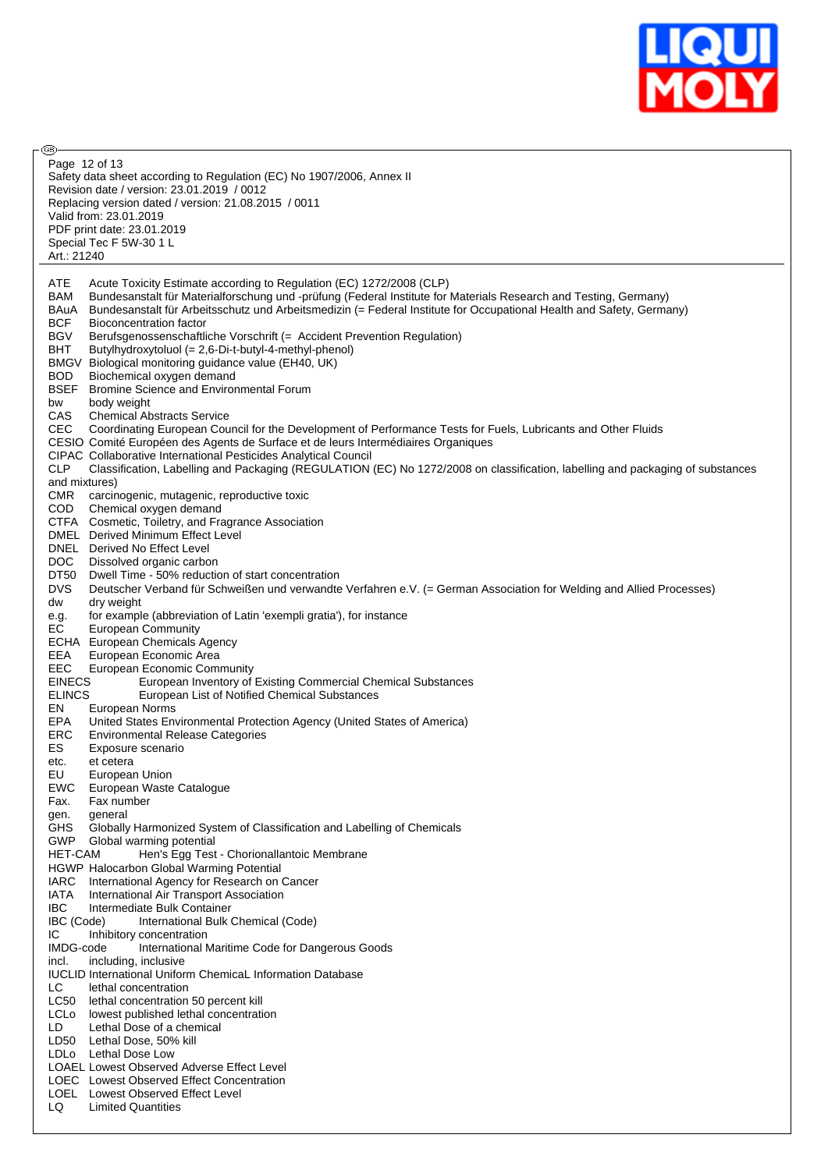

**®** Page 12 of 13Safety data sheet according to Regulation (EC) No 1907/2006, Annex II Revision date / version: 23.01.2019 / 0012 Replacing version dated / version: 21.08.2015 / 0011 Valid from: 23.01.2019 PDF print date: 23.01.2019 Special Tec F 5W-30 1 L Art.: 21240 ATE Acute Toxicity Estimate according to Regulation (EC) 1272/2008 (CLP) BAM Bundesanstalt für Materialforschung und -prüfung (Federal Institute for Materials Research and Testing, Germany) BAuA Bundesanstalt für Arbeitsschutz und Arbeitsmedizin (= Federal Institute for Occupational Health and Safety, Germany) BCF Bioconcentration factor BGV Berufsgenossenschaftliche Vorschrift (= Accident Prevention Regulation) BHT Butylhydroxytoluol (= 2,6-Di-t-butyl-4-methyl-phenol) BMGV Biological monitoring guidance value (EH40, UK) BOD Biochemical oxygen demand BSEF Bromine Science and Environmental Forum bw body weight CAS Chemical Abstracts Service CEC Coordinating European Council for the Development of Performance Tests for Fuels, Lubricants and Other Fluids CESIO Comité Européen des Agents de Surface et de leurs Intermédiaires Organiques CIPAC Collaborative International Pesticides Analytical Council Classification, Labelling and Packaging (REGULATION (EC) No 1272/2008 on classification, labelling and packaging of substances and mixtures) CMR carcinogenic, mutagenic, reproductive toxic COD Chemical oxygen demand CTFA Cosmetic, Toiletry, and Fragrance Association DMEL Derived Minimum Effect Level DNEL Derived No Effect Level DOC Dissolved organic carbon DT50 Dwell Time - 50% reduction of start concentration DVS Deutscher Verband für Schweißen und verwandte Verfahren e.V. (= German Association for Welding and Allied Processes) dw dry weight<br>e.g. for example<br>EC European for example (abbreviation of Latin 'exempli gratia'), for instance **European Community** ECHA European Chemicals Agency EEA European Economic Area EEC European Economic Community EINECS European Inventory of Existing Commercial Chemical Substances European List of Notified Chemical Substances EN European Norms EPA United States Environmental Protection Agency (United States of America) ERC Environmental Release Categories ES Exposure scenario etc. et cetera EU European Union EWC European Waste Catalogue Fax. Fax number gen. general GHS Globally Harmonized System of Classification and Labelling of Chemicals GWP Global warming potential HET-CAM Hen's Egg Test - Chorionallantoic Membrane HGWP Halocarbon Global Warming Potential IARC International Agency for Research on Cancer IATA International Air Transport Association **IBC** Intermediate Bulk Container<br>**IBC** (Code) International Bulk International Bulk Chemical (Code) IC Inhibitory concentration IMDG-code International Maritime Code for Dangerous Goods incl. including, inclusive IUCLID International Uniform ChemicaL Information Database LC lethal concentration LC50 lethal concentration 50 percent kill LCLo lowest published lethal concentration LD Lethal Dose of a chemical LD50 Lethal Dose, 50% kill LDLo Lethal Dose Low LOAEL Lowest Observed Adverse Effect Level LOEC Lowest Observed Effect Concentration LOEL Lowest Observed Effect Level LQ Limited Quantities